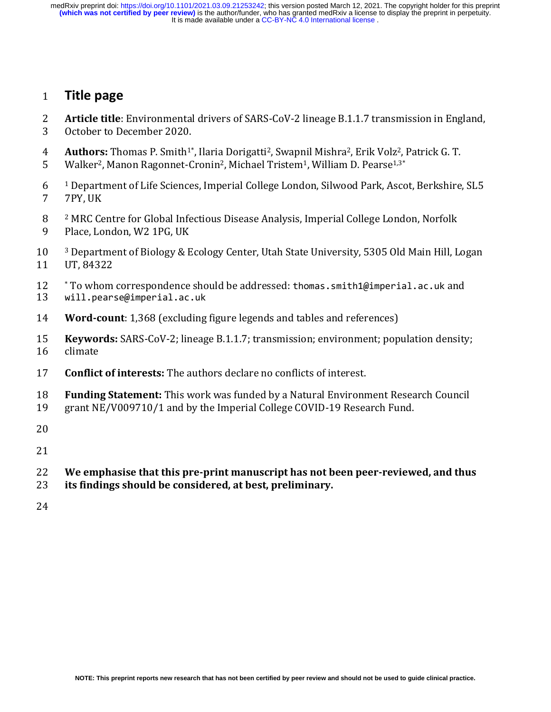It is made available under a CC-BY-NC 4.0 International license. medRxiv preprint doi: [https://doi.org/10.1101/2021.03.09.21253242;](https://doi.org/10.1101/2021.03.09.21253242) this version posted March 12, 2021. The copyright holder for this preprint<br>(**which was not certified by peer review)** is the author/funder, who has granted

## **Title page**

- **Article title**: Environmental drivers of SARS-CoV-2 lineage B.1.1.7 transmission in England,
- October to December 2020.
- **Authors:** Thomas P. Smith<sup>1\*</sup>, Ilaria Dorigatti<sup>2</sup>, Swapnil Mishra<sup>2</sup>, Erik Volz<sup>2</sup>, Patrick G. T.
- 5 Walker<sup>2</sup>, Manon Ragonnet-Cronin<sup>2</sup>, Michael Tristem<sup>1</sup>, William D. Pearse<sup>1,3\*</sup>
- <sup>1</sup> Department of Life Sciences, Imperial College London, Silwood Park, Ascot, Berkshire, SL5 7PY, UK
- <sup>2</sup> MRC Centre for Global Infectious Disease Analysis, Imperial College London, Norfolk
- Place, London, W2 1PG, UK
- <sup>3</sup> Department of Biology & Ecology Center, Utah State University, 5305 Old Main Hill, Logan UT, 84322
- 12 \* To whom correspondence should be addressed: thomas.smith1@imperial.ac.uk and<br>13 will.pearse@imperial.ac.uk
- will.pearse@imperial.ac.uk
- **Word-count**: 1,368 (excluding figure legends and tables and references)
- **Keywords:** SARS-CoV-2; lineage B.1.1.7; transmission; environment; population density; climate
- **Conflict of interests:** The authors declare no conflicts of interest.
- **Funding Statement:** This work was funded by a Natural Environment Research Council
- grant NE/V009710/1 and by the Imperial College COVID-19 Research Fund.
- 
- 
- **We emphasise that this pre-print manuscript has not been peer-reviewed, and thus**
- **its findings should be considered, at best, preliminary.**
-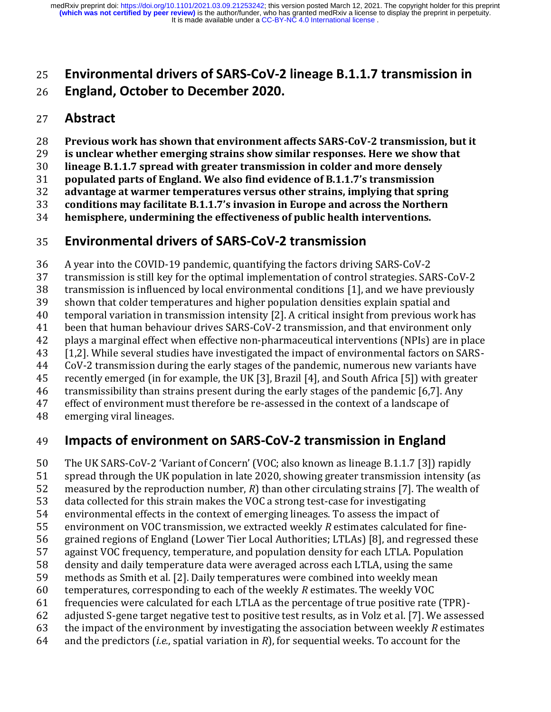## **Environmental drivers of SARS-CoV-2 lineage B.1.1.7 transmission in**

## **England, October to December 2020.**

## **Abstract**

- **Previous work has shown that environment affects SARS-CoV-2 transmission, but it**
- **is unclear whether emerging strains show similar responses. Here we show that**
- **lineage B.1.1.7 spread with greater transmission in colder and more densely**
- **populated parts of England. We also find evidence of B.1.1.7's transmission**
- **advantage at warmer temperatures versus other strains, implying that spring**
- **conditions may facilitate B.1.1.7's invasion in Europe and across the Northern**
- **hemisphere, undermining the effectiveness of public health interventions.**

## **Environmental drivers of SARS-CoV-2 transmission**

- A year into the COVID-19 pandemic, quantifying the factors driving SARS-CoV-2
- transmission is still key for the optimal implementation of control strategies. SARS-CoV-2
- transmission is influenced by local environmental conditions [1], and we have previously
- shown that colder temperatures and higher population densities explain spatial and
- temporal variation in transmission intensity [2]. A critical insight from previous work has
- been that human behaviour drives SARS-CoV-2 transmission, and that environment only
- plays a marginal effect when effective non-pharmaceutical interventions (NPIs) are in place
- [1,2]. While several studies have investigated the impact of environmental factors on SARS-
- CoV-2 transmission during the early stages of the pandemic, numerous new variants have
- recently emerged (in for example, the UK [3], Brazil [4], and South Africa [5]) with greater
- transmissibility than strains present during the early stages of the pandemic [6,7]. Any
- effect of environment must therefore be re-assessed in the context of a landscape of
- emerging viral lineages.

# **Impacts of environment on SARS-CoV-2 transmission in England**

- The UK SARS-CoV-2 'Variant of Concern' (VOC; also known as lineage B.1.1.7 [3]) rapidly
- spread through the UK population in late 2020, showing greater transmission intensity (as
- measured by the reproduction number, *R*) than other circulating strains [7]. The wealth of
- data collected for this strain makes the VOC a strong test-case for investigating
- environmental effects in the context of emerging lineages. To assess the impact of
- environment on VOC transmission, we extracted weekly *R* estimates calculated for fine-
- grained regions of England (Lower Tier Local Authorities; LTLAs) [8], and regressed these
- against VOC frequency, temperature, and population density for each LTLA. Population
- density and daily temperature data were averaged across each LTLA, using the same
- methods as Smith et al. [2]. Daily temperatures were combined into weekly mean
- temperatures, corresponding to each of the weekly *R* estimates. The weekly VOC
- frequencies were calculated for each LTLA as the percentage of true positive rate (TPR)-
- adjusted S-gene target negative test to positive test results, as in Volz et al. [7]. We assessed
- the impact of the environment by investigating the association between weekly *R* estimates
- and the predictors (*i.e.*, spatial variation in *R*), for sequential weeks. To account for the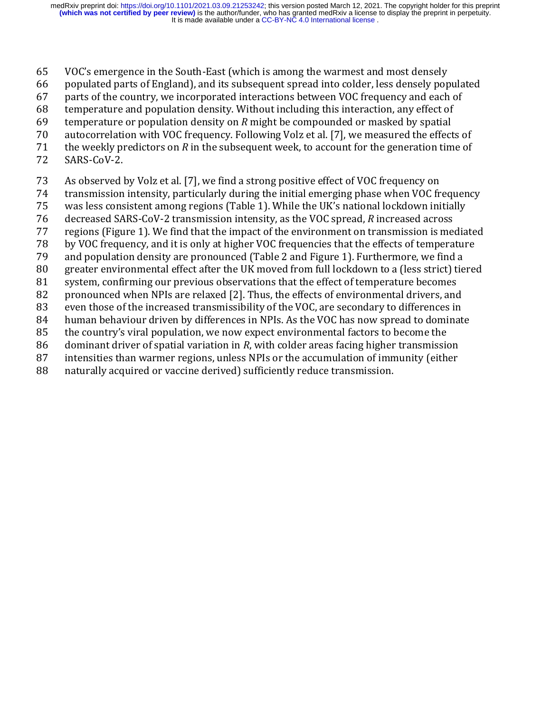- VOC's emergence in the South-East (which is among the warmest and most densely
- populated parts of England), and its subsequent spread into colder, less densely populated
- parts of the country, we incorporated interactions between VOC frequency and each of
- temperature and population density. Without including this interaction, any effect of
- temperature or population density on *R* might be compounded or masked by spatial
- autocorrelation with VOC frequency. Following Volz et al. [7], we measured the effects of
- the weekly predictors on *R* in the subsequent week, to account for the generation time of
- SARS-CoV-2.
- As observed by Volz et al. [7], we find a strong positive effect of VOC frequency on
- transmission intensity, particularly during the initial emerging phase when VOC frequency
- was less consistent among regions (Table 1). While the UK's national lockdown initially
- decreased SARS-CoV-2 transmission intensity, as the VOC spread, *R* increased across
- regions (Figure 1). We find that the impact of the environment on transmission is mediated
- by VOC frequency, and it is only at higher VOC frequencies that the effects of temperature
- and population density are pronounced (Table 2 and Figure 1). Furthermore, we find a
- greater environmental effect after the UK moved from full lockdown to a (less strict) tiered
- system, confirming our previous observations that the effect of temperature becomes
- 82 pronounced when NPIs are relaxed [2]. Thus, the effects of environmental drivers, and
- even those of the increased transmissibility of the VOC, are secondary to differences in
- human behaviour driven by differences in NPIs. As the VOC has now spread to dominate
- the country's viral population, we now expect environmental factors to become the
- dominant driver of spatial variation in *R*, with colder areas facing higher transmission
- intensities than warmer regions, unless NPIs or the accumulation of immunity (either
- naturally acquired or vaccine derived) sufficiently reduce transmission.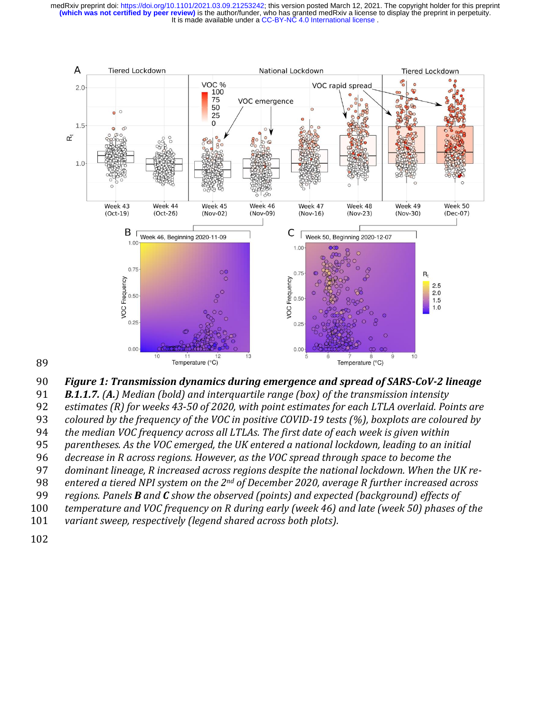

*Figure 1: Transmission dynamics during emergence and spread of SARS-CoV-2 lineage* 

*B.1.1.7. (A.) Median (bold) and interquartile range (box) of the transmission intensity* 

*estimates (R) for weeks 43-50 of 2020, with point estimates for each LTLA overlaid. Points are*

*coloured by the frequency of the VOC in positive COVID-19 tests (%), boxplots are coloured by* 

*the median VOC frequency across all LTLAs. The first date of each week is given within* 

*parentheses. As the VOC emerged, the UK entered a national lockdown, leading to an initial* 

*decrease in R across regions. However, as the VOC spread through space to become the* 

*dominant lineage, R increased across regions despite the national lockdown. When the UK re-*

*entered a tiered NPI system on the 2nd of December 2020, average R further increased across* 

*regions. Panels B and C show the observed (points) and expected (background) effects of* 

*temperature and VOC frequency on R during early (week 46) and late (week 50) phases of the* 

*variant sweep, respectively (legend shared across both plots).*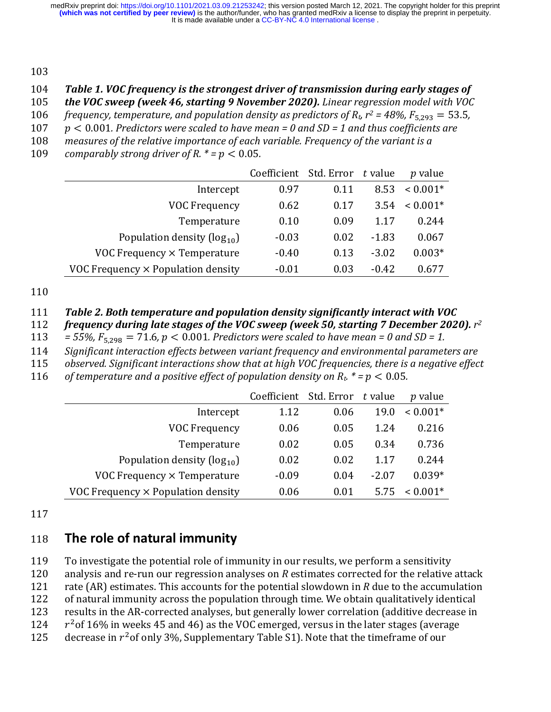103

#### 104 *Table 1. VOC frequency is the strongest driver of transmission during early stages of*

105 *the VOC sweep (week 46, starting 9 November 2020). Linear regression model with VOC* 

*frequency, temperature, and population density as predictors of*  $R_t$ *,*  $r^2 = 48\%$ *,*  $F_{5,293} = 53.5$ *,* 

- 107 < 0.001*. Predictors were scaled to have mean = 0 and SD = 1 and thus coefficients are*
- 108 *measures of the relative importance of each variable. Frequency of the variant is a*

109 *comparably strong driver of R.*  $* = p < 0.05$ *.* 

|                                           | Coefficient Std. Error |      | t value | p value    |
|-------------------------------------------|------------------------|------|---------|------------|
| Intercept                                 | 0.97                   | 0.11 | 8.53    | $< 0.001*$ |
| <b>VOC Frequency</b>                      | 0.62                   | 0.17 | 3.54    | $< 0.001*$ |
| Temperature                               | 0.10                   | 0.09 | 1.17    | 0.244      |
| Population density $(\log_{10})$          | $-0.03$                | 0.02 | $-1.83$ | 0.067      |
| VOC Frequency $\times$ Temperature        | $-0.40$                | 0.13 | $-3.02$ | $0.003*$   |
| VOC Frequency $\times$ Population density | $-0.01$                | 0.03 | $-0.42$ | 0.677      |

110

#### 111 *Table 2. Both temperature and population density significantly interact with VOC*

*frequency during late stages of the VOC sweep (week 50, starting 7 December 2020).*  $r^2$ 

113 = 55%,  $F_{5,298} = 71.6$ ,  $p < 0.001$ . Predictors were scaled to have mean = 0 and SD = 1.

114 *Significant interaction effects between variant frequency and environmental parameters are* 

115 *observed. Significant interactions show that at high VOC frequencies, there is a negative effect* 

116 *of temperature and a positive effect of population density on*  $R_t$  $* = p < 0.05$ *.* 

|                                           | Coefficient Std. Error t value |      |         | <i>p</i> value |
|-------------------------------------------|--------------------------------|------|---------|----------------|
| Intercept                                 | 1.12                           | 0.06 | 19.0    | $< 0.001*$     |
| VOC Frequency                             | 0.06                           | 0.05 | 1.24    | 0.216          |
| Temperature                               | 0.02                           | 0.05 | 0.34    | 0.736          |
| Population density $(\log_{10})$          | 0.02                           | 0.02 | 1.17    | 0.244          |
| VOC Frequency $\times$ Temperature        | $-0.09$                        | 0.04 | $-2.07$ | $0.039*$       |
| VOC Frequency $\times$ Population density | 0.06                           | 0.01 | 5.75    | $0.001*$       |

117

## 118 **The role of natural immunity**

119 To investigate the potential role of immunity in our results, we perform a sensitivity 120 analysis and re-run our regression analyses on *R* estimates corrected for the relative attack

121 rate (AR) estimates. This accounts for the potential slowdown in *R* due to the accumulation

122 of natural immunity across the population through time. We obtain qualitatively identical

123 results in the AR-corrected analyses, but generally lower correlation (additive decrease in

124  $r^2$  of 16% in weeks 45 and 46) as the VOC emerged, versus in the later stages (average

125 decrease in  $r^2$  of only 3%, Supplementary Table S1). Note that the timeframe of our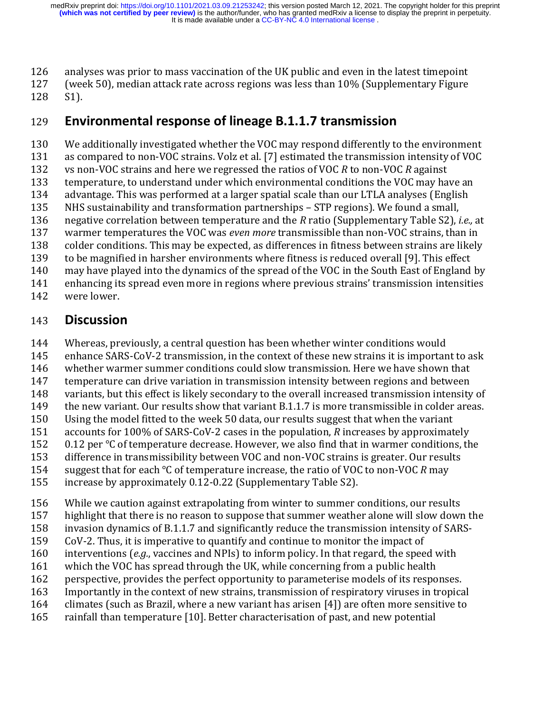analyses was prior to mass vaccination of the UK public and even in the latest timepoint

(week 50), median attack rate across regions was less than 10% (Supplementary Figure

S1).

## **Environmental response of lineage B.1.1.7 transmission**

 We additionally investigated whether the VOC may respond differently to the environment as compared to non-VOC strains. Volz et al. [7] estimated the transmission intensity of VOC vs non-VOC strains and here we regressed the ratios of VOC *R* to non-VOC *R* against temperature, to understand under which environmental conditions the VOC may have an advantage. This was performed at a larger spatial scale than our LTLA analyses (English NHS sustainability and transformation partnerships – STP regions). We found a small, negative correlation between temperature and the *R* ratio (Supplementary Table S2), *i.e.,* at warmer temperatures the VOC was *even more* transmissible than non-VOC strains, than in colder conditions. This may be expected, as differences in fitness between strains are likely to be magnified in harsher environments where fitness is reduced overall [9]. This effect may have played into the dynamics of the spread of the VOC in the South East of England by enhancing its spread even more in regions where previous strains' transmission intensities were lower.

## **Discussion**

- Whereas, previously, a central question has been whether winter conditions would
- enhance SARS-CoV-2 transmission, in the context of these new strains it is important to ask
- whether warmer summer conditions could slow transmission. Here we have shown that
- temperature can drive variation in transmission intensity between regions and between
- variants, but this effect is likely secondary to the overall increased transmission intensity of
- 149 the new variant. Our results show that variant B.1.1.7 is more transmissible in colder areas.
- Using the model fitted to the week 50 data, our results suggest that when the variant
- accounts for 100% of SARS-CoV-2 cases in the population, *R* increases by approximately
- 0.12 per ℃ of temperature decrease. However, we also find that in warmer conditions, the
- difference in transmissibility between VOC and non-VOC strains is greater. Our results
- suggest that for each ℃ of temperature increase, the ratio of VOC to non-VOC *R* may
- increase by approximately 0.12-0.22 (Supplementary Table S2).
- While we caution against extrapolating from winter to summer conditions, our results
- highlight that there is no reason to suppose that summer weather alone will slow down the
- invasion dynamics of B.1.1.7 and significantly reduce the transmission intensity of SARS-
- CoV-2. Thus, it is imperative to quantify and continue to monitor the impact of
- interventions (*e.g.*, vaccines and NPIs) to inform policy. In that regard, the speed with
- which the VOC has spread through the UK, while concerning from a public health
- perspective, provides the perfect opportunity to parameterise models of its responses.
- Importantly in the context of new strains, transmission of respiratory viruses in tropical
- climates (such as Brazil, where a new variant has arisen [4]) are often more sensitive to
- rainfall than temperature [10]. Better characterisation of past, and new potential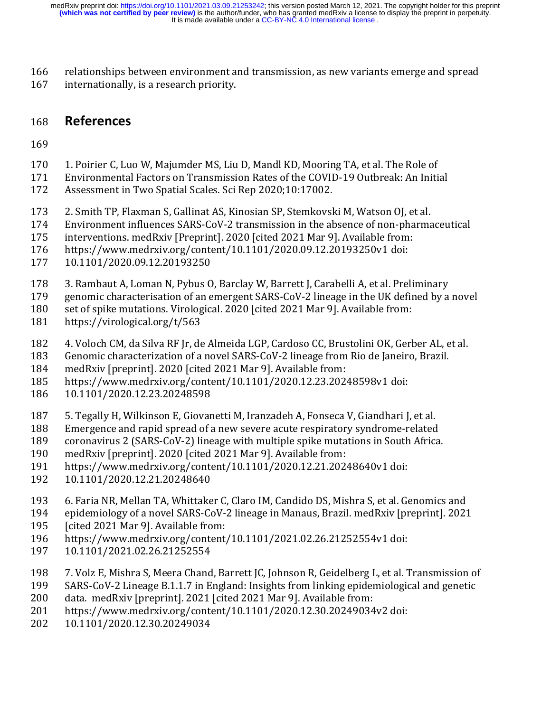relationships between environment and transmission, as new variants emerge and spread 167 internationally, is a research priority.

### **References**

- 1. Poirier C, Luo W, Majumder MS, Liu D, Mandl KD, Mooring TA, et al. The Role of
- Environmental Factors on Transmission Rates of the COVID-19 Outbreak: An Initial
- Assessment in Two Spatial Scales. Sci Rep 2020;10:17002.
- 2. Smith TP, Flaxman S, Gallinat AS, Kinosian SP, Stemkovski M, Watson OJ, et al.
- Environment influences SARS-CoV-2 transmission in the absence of non-pharmaceutical
- interventions. medRxiv [Preprint]. 2020 [cited 2021 Mar 9]. Available from:
- https://www.medrxiv.org/content/10.1101/2020.09.12.20193250v1 doi:
- 10.1101/2020.09.12.20193250
- 3. Rambaut A, Loman N, Pybus O, Barclay W, Barrett J, Carabelli A, et al. Preliminary
- genomic characterisation of an emergent SARS-CoV-2 lineage in the UK defined by a novel
- set of spike mutations. Virological. 2020 [cited 2021 Mar 9]. Available from:
- https://virological.org/t/563
- 4. Voloch CM, da Silva RF Jr, de Almeida LGP, Cardoso CC, Brustolini OK, Gerber AL, et al.
- Genomic characterization of a novel SARS-CoV-2 lineage from Rio de Janeiro, Brazil.
- medRxiv [preprint]. 2020 [cited 2021 Mar 9]. Available from:
- https://www.medrxiv.org/content/10.1101/2020.12.23.20248598v1 doi:
- 10.1101/2020.12.23.20248598
- 5. Tegally H, Wilkinson E, Giovanetti M, Iranzadeh A, Fonseca V, Giandhari J, et al.
- Emergence and rapid spread of a new severe acute respiratory syndrome-related
- coronavirus 2 (SARS-CoV-2) lineage with multiple spike mutations in South Africa.
- medRxiv [preprint]. 2020 [cited 2021 Mar 9]. Available from:
- https://www.medrxiv.org/content/10.1101/2020.12.21.20248640v1 doi:
- 10.1101/2020.12.21.20248640
- 6. Faria NR, Mellan TA, Whittaker C, Claro IM, Candido DS, Mishra S, et al. Genomics and
- epidemiology of a novel SARS-CoV-2 lineage in Manaus, Brazil. medRxiv [preprint]. 2021
- [cited 2021 Mar 9]. Available from:
- https://www.medrxiv.org/content/10.1101/2021.02.26.21252554v1 doi:
- 10.1101/2021.02.26.21252554
- 7. Volz E, Mishra S, Meera Chand, Barrett JC, Johnson R, Geidelberg L, et al. Transmission of
- SARS-CoV-2 Lineage B.1.1.7 in England: Insights from linking epidemiological and genetic
- data. medRxiv [preprint]. 2021 [cited 2021 Mar 9]. Available from:
- https://www.medrxiv.org/content/10.1101/2020.12.30.20249034v2 doi:
- 10.1101/2020.12.30.20249034